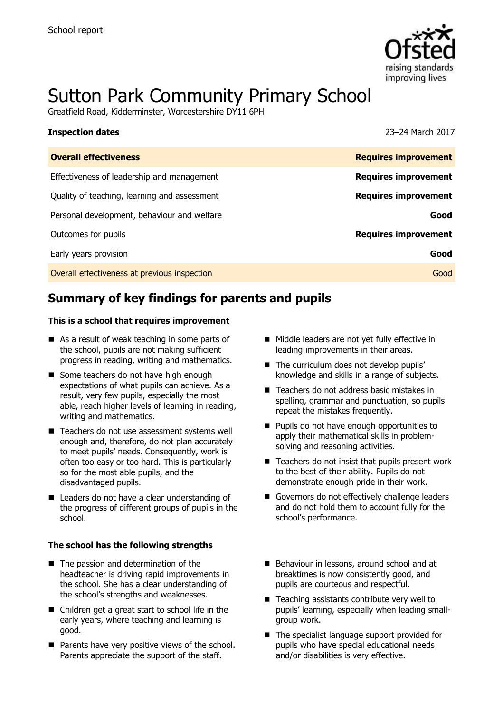

# Sutton Park Community Primary School

Greatfield Road, Kidderminster, Worcestershire DY11 6PH

| <b>Inspection dates</b>                      | 23-24 March 2017            |
|----------------------------------------------|-----------------------------|
| <b>Overall effectiveness</b>                 | <b>Requires improvement</b> |
| Effectiveness of leadership and management   | <b>Requires improvement</b> |
| Quality of teaching, learning and assessment | <b>Requires improvement</b> |
| Personal development, behaviour and welfare  | Good                        |
| Outcomes for pupils                          | <b>Requires improvement</b> |
| Early years provision                        | Good                        |
| Overall effectiveness at previous inspection | Good                        |

# **Summary of key findings for parents and pupils**

#### **This is a school that requires improvement**

- As a result of weak teaching in some parts of the school, pupils are not making sufficient progress in reading, writing and mathematics.
- Some teachers do not have high enough expectations of what pupils can achieve. As a result, very few pupils, especially the most able, reach higher levels of learning in reading, writing and mathematics.
- Teachers do not use assessment systems well enough and, therefore, do not plan accurately to meet pupils' needs. Consequently, work is often too easy or too hard. This is particularly so for the most able pupils, and the disadvantaged pupils.
- Leaders do not have a clear understanding of the progress of different groups of pupils in the school.

#### **The school has the following strengths**

- The passion and determination of the headteacher is driving rapid improvements in the school. She has a clear understanding of the school's strengths and weaknesses.
- Children get a great start to school life in the early years, where teaching and learning is good.
- $\blacksquare$  Parents have very positive views of the school. Parents appreciate the support of the staff.
- Middle leaders are not yet fully effective in leading improvements in their areas.
- The curriculum does not develop pupils' knowledge and skills in a range of subjects.
- Teachers do not address basic mistakes in spelling, grammar and punctuation, so pupils repeat the mistakes frequently.
- **Pupils do not have enough opportunities to** apply their mathematical skills in problemsolving and reasoning activities.
- $\blacksquare$  Teachers do not insist that pupils present work to the best of their ability. Pupils do not demonstrate enough pride in their work.
- Governors do not effectively challenge leaders and do not hold them to account fully for the school's performance.
- Behaviour in lessons, around school and at breaktimes is now consistently good, and pupils are courteous and respectful.
- $\blacksquare$  Teaching assistants contribute very well to pupils' learning, especially when leading smallgroup work.
- $\blacksquare$  The specialist language support provided for pupils who have special educational needs and/or disabilities is very effective.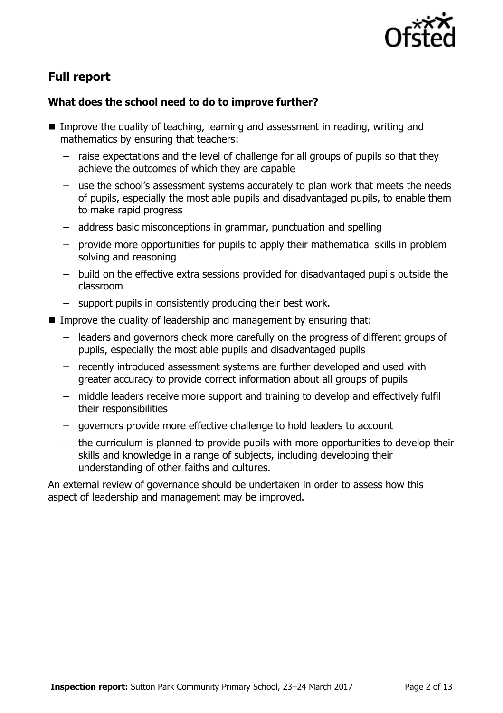

# **Full report**

### **What does the school need to do to improve further?**

- **IMPROVE the quality of teaching, learning and assessment in reading, writing and** mathematics by ensuring that teachers:
	- raise expectations and the level of challenge for all groups of pupils so that they achieve the outcomes of which they are capable
	- use the school's assessment systems accurately to plan work that meets the needs of pupils, especially the most able pupils and disadvantaged pupils, to enable them to make rapid progress
	- address basic misconceptions in grammar, punctuation and spelling
	- provide more opportunities for pupils to apply their mathematical skills in problem solving and reasoning
	- build on the effective extra sessions provided for disadvantaged pupils outside the classroom
	- support pupils in consistently producing their best work.
- Improve the quality of leadership and management by ensuring that:
	- leaders and governors check more carefully on the progress of different groups of pupils, especially the most able pupils and disadvantaged pupils
	- recently introduced assessment systems are further developed and used with greater accuracy to provide correct information about all groups of pupils
	- middle leaders receive more support and training to develop and effectively fulfil their responsibilities
	- governors provide more effective challenge to hold leaders to account
	- the curriculum is planned to provide pupils with more opportunities to develop their skills and knowledge in a range of subjects, including developing their understanding of other faiths and cultures.

An external review of governance should be undertaken in order to assess how this aspect of leadership and management may be improved.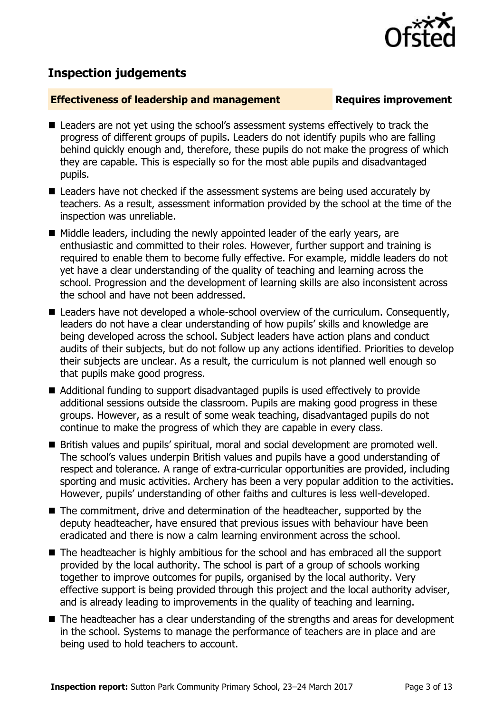

# **Inspection judgements**

#### **Effectiveness of leadership and management Requires improvement**

- Leaders are not vet using the school's assessment systems effectively to track the progress of different groups of pupils. Leaders do not identify pupils who are falling behind quickly enough and, therefore, these pupils do not make the progress of which they are capable. This is especially so for the most able pupils and disadvantaged pupils.
- Leaders have not checked if the assessment systems are being used accurately by teachers. As a result, assessment information provided by the school at the time of the inspection was unreliable.
- Middle leaders, including the newly appointed leader of the early years, are enthusiastic and committed to their roles. However, further support and training is required to enable them to become fully effective. For example, middle leaders do not yet have a clear understanding of the quality of teaching and learning across the school. Progression and the development of learning skills are also inconsistent across the school and have not been addressed.
- Leaders have not developed a whole-school overview of the curriculum. Consequently, leaders do not have a clear understanding of how pupils' skills and knowledge are being developed across the school. Subject leaders have action plans and conduct audits of their subjects, but do not follow up any actions identified. Priorities to develop their subjects are unclear. As a result, the curriculum is not planned well enough so that pupils make good progress.
- Additional funding to support disadvantaged pupils is used effectively to provide additional sessions outside the classroom. Pupils are making good progress in these groups. However, as a result of some weak teaching, disadvantaged pupils do not continue to make the progress of which they are capable in every class.
- British values and pupils' spiritual, moral and social development are promoted well. The school's values underpin British values and pupils have a good understanding of respect and tolerance. A range of extra-curricular opportunities are provided, including sporting and music activities. Archery has been a very popular addition to the activities. However, pupils' understanding of other faiths and cultures is less well-developed.
- The commitment, drive and determination of the headteacher, supported by the deputy headteacher, have ensured that previous issues with behaviour have been eradicated and there is now a calm learning environment across the school.
- The headteacher is highly ambitious for the school and has embraced all the support provided by the local authority. The school is part of a group of schools working together to improve outcomes for pupils, organised by the local authority. Very effective support is being provided through this project and the local authority adviser, and is already leading to improvements in the quality of teaching and learning.
- The headteacher has a clear understanding of the strengths and areas for development in the school. Systems to manage the performance of teachers are in place and are being used to hold teachers to account.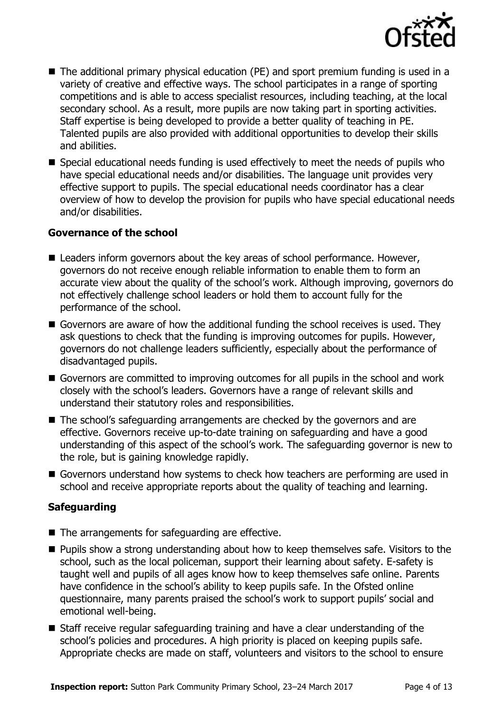

- The additional primary physical education (PE) and sport premium funding is used in a variety of creative and effective ways. The school participates in a range of sporting competitions and is able to access specialist resources, including teaching, at the local secondary school. As a result, more pupils are now taking part in sporting activities. Staff expertise is being developed to provide a better quality of teaching in PE. Talented pupils are also provided with additional opportunities to develop their skills and abilities.
- Special educational needs funding is used effectively to meet the needs of pupils who have special educational needs and/or disabilities. The language unit provides very effective support to pupils. The special educational needs coordinator has a clear overview of how to develop the provision for pupils who have special educational needs and/or disabilities.

#### **Governance of the school**

- Leaders inform governors about the key areas of school performance. However, governors do not receive enough reliable information to enable them to form an accurate view about the quality of the school's work. Although improving, governors do not effectively challenge school leaders or hold them to account fully for the performance of the school.
- Governors are aware of how the additional funding the school receives is used. They ask questions to check that the funding is improving outcomes for pupils. However, governors do not challenge leaders sufficiently, especially about the performance of disadvantaged pupils.
- Governors are committed to improving outcomes for all pupils in the school and work closely with the school's leaders. Governors have a range of relevant skills and understand their statutory roles and responsibilities.
- The school's safeguarding arrangements are checked by the governors and are effective. Governors receive up-to-date training on safeguarding and have a good understanding of this aspect of the school's work. The safeguarding governor is new to the role, but is gaining knowledge rapidly.
- Governors understand how systems to check how teachers are performing are used in school and receive appropriate reports about the quality of teaching and learning.

### **Safeguarding**

- $\blacksquare$  The arrangements for safeguarding are effective.
- **Pupils show a strong understanding about how to keep themselves safe. Visitors to the** school, such as the local policeman, support their learning about safety. E-safety is taught well and pupils of all ages know how to keep themselves safe online. Parents have confidence in the school's ability to keep pupils safe. In the Ofsted online questionnaire, many parents praised the school's work to support pupils' social and emotional well-being.
- Staff receive regular safeguarding training and have a clear understanding of the school's policies and procedures. A high priority is placed on keeping pupils safe. Appropriate checks are made on staff, volunteers and visitors to the school to ensure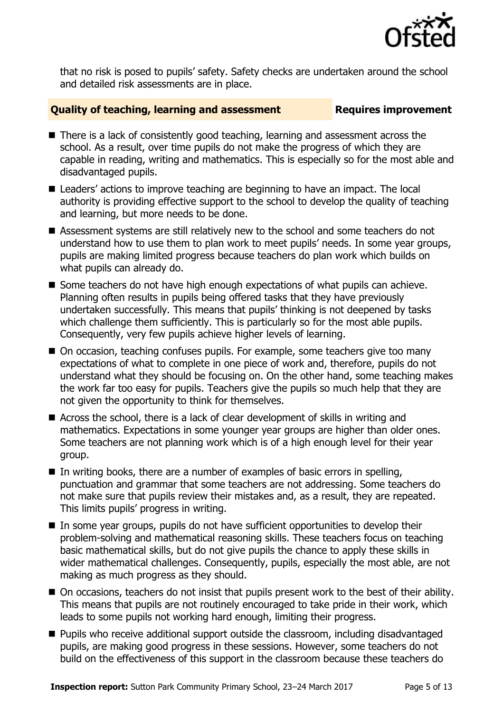

that no risk is posed to pupils' safety. Safety checks are undertaken around the school and detailed risk assessments are in place.

#### **Quality of teaching, learning and assessment Fig. 2.1 Requires improvement**

- There is a lack of consistently good teaching, learning and assessment across the school. As a result, over time pupils do not make the progress of which they are capable in reading, writing and mathematics. This is especially so for the most able and disadvantaged pupils.
- Leaders' actions to improve teaching are beginning to have an impact. The local authority is providing effective support to the school to develop the quality of teaching and learning, but more needs to be done.
- Assessment systems are still relatively new to the school and some teachers do not understand how to use them to plan work to meet pupils' needs. In some year groups, pupils are making limited progress because teachers do plan work which builds on what pupils can already do.
- Some teachers do not have high enough expectations of what pupils can achieve. Planning often results in pupils being offered tasks that they have previously undertaken successfully. This means that pupils' thinking is not deepened by tasks which challenge them sufficiently. This is particularly so for the most able pupils. Consequently, very few pupils achieve higher levels of learning.
- On occasion, teaching confuses pupils. For example, some teachers give too many expectations of what to complete in one piece of work and, therefore, pupils do not understand what they should be focusing on. On the other hand, some teaching makes the work far too easy for pupils. Teachers give the pupils so much help that they are not given the opportunity to think for themselves.
- Across the school, there is a lack of clear development of skills in writing and mathematics. Expectations in some younger year groups are higher than older ones. Some teachers are not planning work which is of a high enough level for their year group.
- In writing books, there are a number of examples of basic errors in spelling, punctuation and grammar that some teachers are not addressing. Some teachers do not make sure that pupils review their mistakes and, as a result, they are repeated. This limits pupils' progress in writing.
- In some year groups, pupils do not have sufficient opportunities to develop their problem-solving and mathematical reasoning skills. These teachers focus on teaching basic mathematical skills, but do not give pupils the chance to apply these skills in wider mathematical challenges. Consequently, pupils, especially the most able, are not making as much progress as they should.
- On occasions, teachers do not insist that pupils present work to the best of their ability. This means that pupils are not routinely encouraged to take pride in their work, which leads to some pupils not working hard enough, limiting their progress.
- **Pupils who receive additional support outside the classroom, including disadvantaged** pupils, are making good progress in these sessions. However, some teachers do not build on the effectiveness of this support in the classroom because these teachers do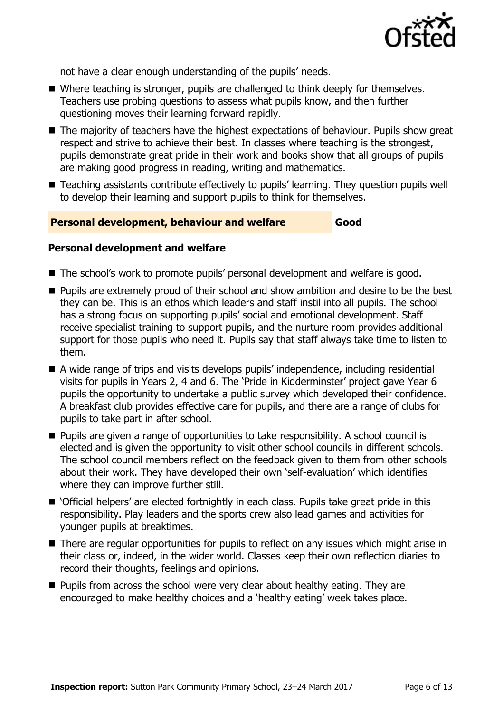

not have a clear enough understanding of the pupils' needs.

- Where teaching is stronger, pupils are challenged to think deeply for themselves. Teachers use probing questions to assess what pupils know, and then further questioning moves their learning forward rapidly.
- The majority of teachers have the highest expectations of behaviour. Pupils show great respect and strive to achieve their best. In classes where teaching is the strongest, pupils demonstrate great pride in their work and books show that all groups of pupils are making good progress in reading, writing and mathematics.
- Teaching assistants contribute effectively to pupils' learning. They question pupils well to develop their learning and support pupils to think for themselves.

#### **Personal development, behaviour and welfare Good**

#### **Personal development and welfare**

- The school's work to promote pupils' personal development and welfare is good.
- **Pupils are extremely proud of their school and show ambition and desire to be the best** they can be. This is an ethos which leaders and staff instil into all pupils. The school has a strong focus on supporting pupils' social and emotional development. Staff receive specialist training to support pupils, and the nurture room provides additional support for those pupils who need it. Pupils say that staff always take time to listen to them.
- A wide range of trips and visits develops pupils' independence, including residential visits for pupils in Years 2, 4 and 6. The 'Pride in Kidderminster' project gave Year 6 pupils the opportunity to undertake a public survey which developed their confidence. A breakfast club provides effective care for pupils, and there are a range of clubs for pupils to take part in after school.
- Pupils are given a range of opportunities to take responsibility. A school council is elected and is given the opportunity to visit other school councils in different schools. The school council members reflect on the feedback given to them from other schools about their work. They have developed their own 'self-evaluation' which identifies where they can improve further still.
- 'Official helpers' are elected fortnightly in each class. Pupils take great pride in this responsibility. Play leaders and the sports crew also lead games and activities for younger pupils at breaktimes.
- There are regular opportunities for pupils to reflect on any issues which might arise in their class or, indeed, in the wider world. Classes keep their own reflection diaries to record their thoughts, feelings and opinions.
- **Pupils from across the school were very clear about healthy eating. They are** encouraged to make healthy choices and a 'healthy eating' week takes place.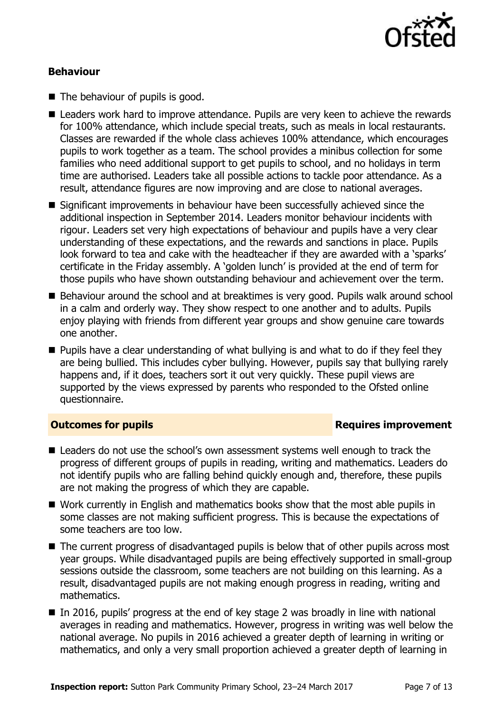

#### **Behaviour**

- The behaviour of pupils is good.
- Leaders work hard to improve attendance. Pupils are very keen to achieve the rewards for 100% attendance, which include special treats, such as meals in local restaurants. Classes are rewarded if the whole class achieves 100% attendance, which encourages pupils to work together as a team. The school provides a minibus collection for some families who need additional support to get pupils to school, and no holidays in term time are authorised. Leaders take all possible actions to tackle poor attendance. As a result, attendance figures are now improving and are close to national averages.
- Significant improvements in behaviour have been successfully achieved since the additional inspection in September 2014. Leaders monitor behaviour incidents with rigour. Leaders set very high expectations of behaviour and pupils have a very clear understanding of these expectations, and the rewards and sanctions in place. Pupils look forward to tea and cake with the headteacher if they are awarded with a 'sparks' certificate in the Friday assembly. A 'golden lunch' is provided at the end of term for those pupils who have shown outstanding behaviour and achievement over the term.
- Behaviour around the school and at breaktimes is very good. Pupils walk around school in a calm and orderly way. They show respect to one another and to adults. Pupils enjoy playing with friends from different year groups and show genuine care towards one another.
- $\blacksquare$  Pupils have a clear understanding of what bullying is and what to do if they feel they are being bullied. This includes cyber bullying. However, pupils say that bullying rarely happens and, if it does, teachers sort it out very quickly. These pupil views are supported by the views expressed by parents who responded to the Ofsted online questionnaire.

### **Outcomes for pupils Requires improvement**

- Leaders do not use the school's own assessment systems well enough to track the progress of different groups of pupils in reading, writing and mathematics. Leaders do not identify pupils who are falling behind quickly enough and, therefore, these pupils are not making the progress of which they are capable.
- Work currently in English and mathematics books show that the most able pupils in some classes are not making sufficient progress. This is because the expectations of some teachers are too low.
- The current progress of disadvantaged pupils is below that of other pupils across most year groups. While disadvantaged pupils are being effectively supported in small-group sessions outside the classroom, some teachers are not building on this learning. As a result, disadvantaged pupils are not making enough progress in reading, writing and mathematics.
- $\blacksquare$  In 2016, pupils' progress at the end of key stage 2 was broadly in line with national averages in reading and mathematics. However, progress in writing was well below the national average. No pupils in 2016 achieved a greater depth of learning in writing or mathematics, and only a very small proportion achieved a greater depth of learning in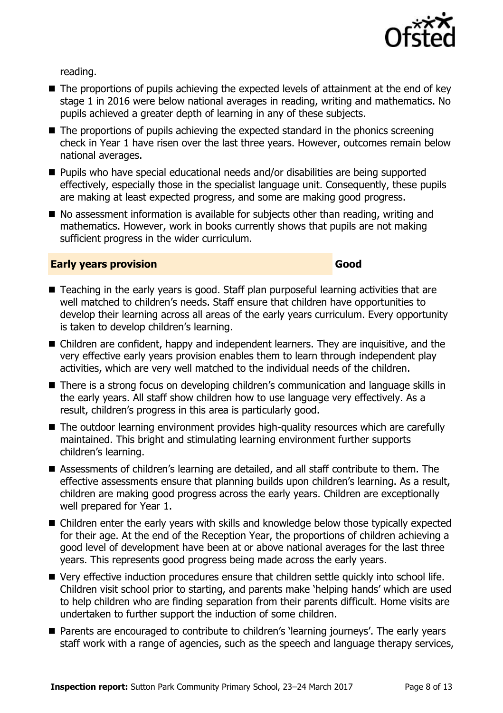

reading.

- The proportions of pupils achieving the expected levels of attainment at the end of key stage 1 in 2016 were below national averages in reading, writing and mathematics. No pupils achieved a greater depth of learning in any of these subjects.
- The proportions of pupils achieving the expected standard in the phonics screening check in Year 1 have risen over the last three years. However, outcomes remain below national averages.
- Pupils who have special educational needs and/or disabilities are being supported effectively, especially those in the specialist language unit. Consequently, these pupils are making at least expected progress, and some are making good progress.
- No assessment information is available for subjects other than reading, writing and mathematics. However, work in books currently shows that pupils are not making sufficient progress in the wider curriculum.

#### **Early years provision Good Good**

- Teaching in the early years is good. Staff plan purposeful learning activities that are well matched to children's needs. Staff ensure that children have opportunities to develop their learning across all areas of the early years curriculum. Every opportunity is taken to develop children's learning.
- Children are confident, happy and independent learners. They are inquisitive, and the very effective early years provision enables them to learn through independent play activities, which are very well matched to the individual needs of the children.
- There is a strong focus on developing children's communication and language skills in the early years. All staff show children how to use language very effectively. As a result, children's progress in this area is particularly good.
- The outdoor learning environment provides high-quality resources which are carefully maintained. This bright and stimulating learning environment further supports children's learning.
- Assessments of children's learning are detailed, and all staff contribute to them. The effective assessments ensure that planning builds upon children's learning. As a result, children are making good progress across the early years. Children are exceptionally well prepared for Year 1.
- Children enter the early years with skills and knowledge below those typically expected for their age. At the end of the Reception Year, the proportions of children achieving a good level of development have been at or above national averages for the last three years. This represents good progress being made across the early years.
- Very effective induction procedures ensure that children settle quickly into school life. Children visit school prior to starting, and parents make 'helping hands' which are used to help children who are finding separation from their parents difficult. Home visits are undertaken to further support the induction of some children.
- Parents are encouraged to contribute to children's 'learning journeys'. The early years staff work with a range of agencies, such as the speech and language therapy services,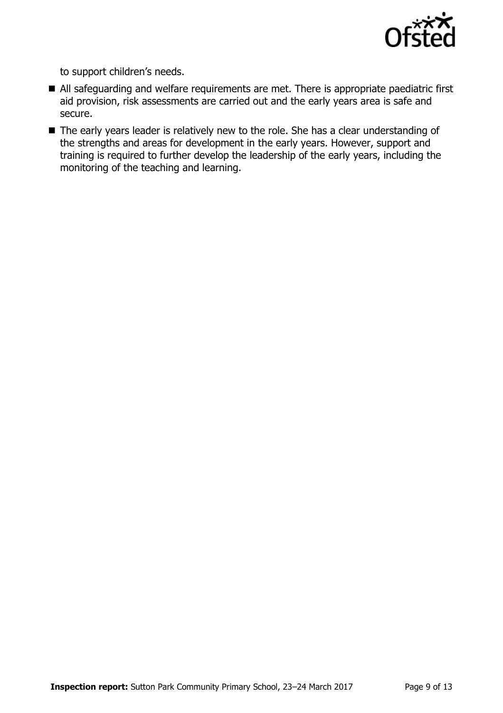

to support children's needs.

- All safeguarding and welfare requirements are met. There is appropriate paediatric first aid provision, risk assessments are carried out and the early years area is safe and secure.
- The early years leader is relatively new to the role. She has a clear understanding of the strengths and areas for development in the early years. However, support and training is required to further develop the leadership of the early years, including the monitoring of the teaching and learning.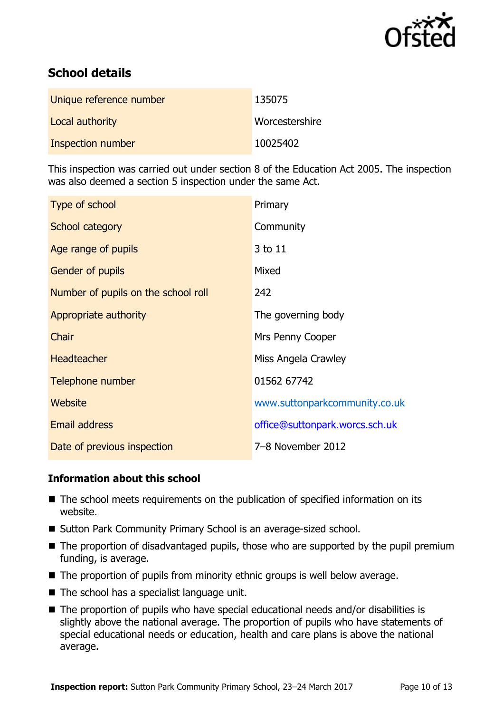

# **School details**

| Unique reference number | 135075         |
|-------------------------|----------------|
| Local authority         | Worcestershire |
| Inspection number       | 10025402       |

This inspection was carried out under section 8 of the Education Act 2005. The inspection was also deemed a section 5 inspection under the same Act.

| Type of school                      | Primary                        |
|-------------------------------------|--------------------------------|
| School category                     | Community                      |
| Age range of pupils                 | 3 to 11                        |
| <b>Gender of pupils</b>             | Mixed                          |
| Number of pupils on the school roll | 242                            |
| Appropriate authority               | The governing body             |
| Chair                               | Mrs Penny Cooper               |
| <b>Headteacher</b>                  | Miss Angela Crawley            |
| Telephone number                    | 01562 67742                    |
| Website                             | www.suttonparkcommunity.co.uk  |
| Email address                       | office@suttonpark.worcs.sch.uk |
| Date of previous inspection         | 7-8 November 2012              |

### **Information about this school**

- The school meets requirements on the publication of specified information on its website.
- Sutton Park Community Primary School is an average-sized school.
- The proportion of disadvantaged pupils, those who are supported by the pupil premium funding, is average.
- The proportion of pupils from minority ethnic groups is well below average.
- $\blacksquare$  The school has a specialist language unit.
- The proportion of pupils who have special educational needs and/or disabilities is slightly above the national average. The proportion of pupils who have statements of special educational needs or education, health and care plans is above the national average.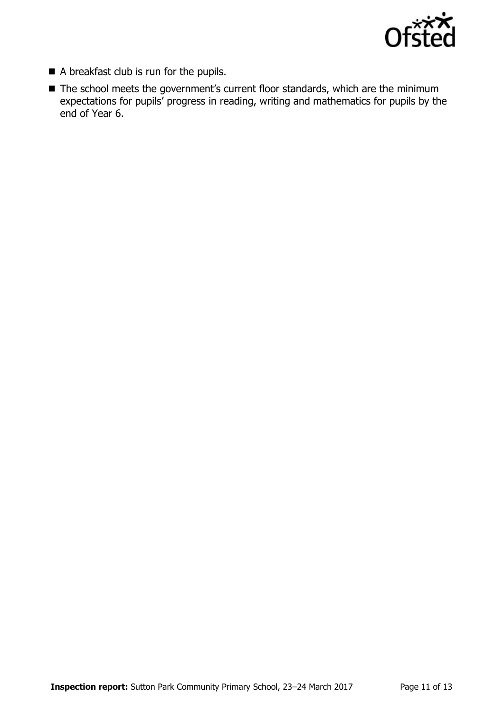

- A breakfast club is run for the pupils.
- The school meets the government's current floor standards, which are the minimum expectations for pupils' progress in reading, writing and mathematics for pupils by the end of Year 6.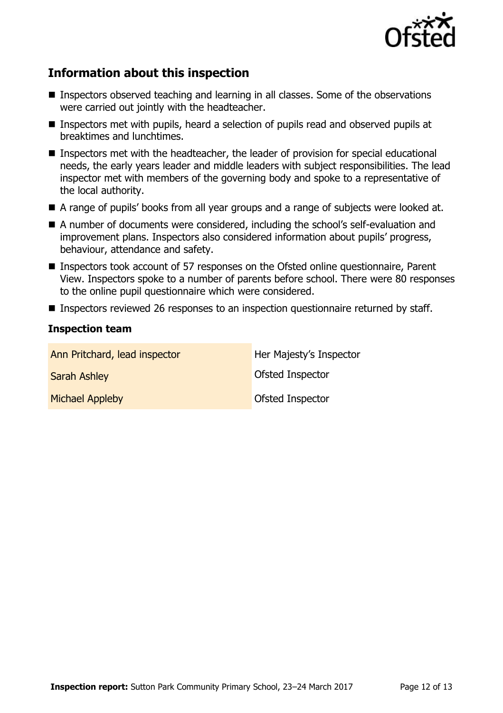

# **Information about this inspection**

- Inspectors observed teaching and learning in all classes. Some of the observations were carried out jointly with the headteacher.
- Inspectors met with pupils, heard a selection of pupils read and observed pupils at breaktimes and lunchtimes.
- Inspectors met with the headteacher, the leader of provision for special educational needs, the early years leader and middle leaders with subject responsibilities. The lead inspector met with members of the governing body and spoke to a representative of the local authority.
- A range of pupils' books from all year groups and a range of subjects were looked at.
- A number of documents were considered, including the school's self-evaluation and improvement plans. Inspectors also considered information about pupils' progress, behaviour, attendance and safety.
- Inspectors took account of 57 responses on the Ofsted online questionnaire, Parent View. Inspectors spoke to a number of parents before school. There were 80 responses to the online pupil questionnaire which were considered.
- Inspectors reviewed 26 responses to an inspection questionnaire returned by staff.

#### **Inspection team**

| Ann Pritchard, lead inspector | Her Majesty's Inspector |
|-------------------------------|-------------------------|
| <b>Sarah Ashley</b>           | <b>Ofsted Inspector</b> |
| <b>Michael Appleby</b>        | <b>Ofsted Inspector</b> |